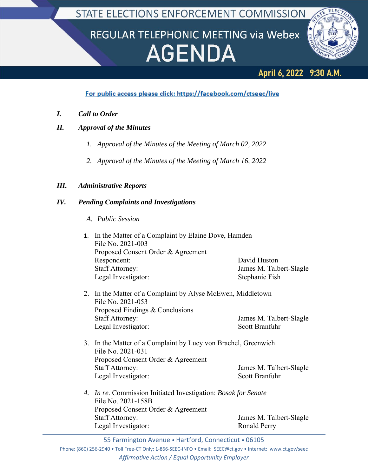STATE ELECTIONS ENFORCEMENT COMMISSION

# REGULAR TELEPHONIC MEETING via Webex **AGENDA**



# April 6, 2022 9:30 A.M.

## For public access please click: https://facebook.com/ctseec/live

- *I. Call to Order*
- *II. Approval of the Minutes*
	- *1. Approval of the Minutes of the Meeting of March 02, 2022*
	- *2. Approval of the Minutes of the Meeting of March 16, 2022*

### *III. Administrative Reports*

### *IV. Pending Complaints and Investigations*

*A. Public Session*

|  | 1. In the Matter of a Complaint by Elaine Dove, Hamden<br>File No. 2021-003<br>Proposed Consent Order & Agreement |                         |  |
|--|-------------------------------------------------------------------------------------------------------------------|-------------------------|--|
|  | Respondent:                                                                                                       | David Huston            |  |
|  | <b>Staff Attorney:</b>                                                                                            | James M. Talbert-Slagle |  |
|  | Legal Investigator:                                                                                               | Stephanie Fish          |  |
|  | 2. In the Matter of a Complaint by Alyse McEwen, Middletown<br>File No. 2021-053                                  |                         |  |
|  | Proposed Findings & Conclusions                                                                                   |                         |  |
|  | <b>Staff Attorney:</b>                                                                                            | James M. Talbert-Slagle |  |
|  | Legal Investigator:                                                                                               | <b>Scott Branfuhr</b>   |  |
|  | 3. In the Matter of a Complaint by Lucy von Brachel, Greenwich<br>File No. 2021-031                               |                         |  |
|  | Proposed Consent Order & Agreement                                                                                |                         |  |
|  | <b>Staff Attorney:</b>                                                                                            | James M. Talbert-Slagle |  |
|  | Legal Investigator:                                                                                               | <b>Scott Branfuhr</b>   |  |
|  | 4. In re. Commission Initiated Investigation: Bosak for Senate                                                    |                         |  |
|  | File No. 2021-158B                                                                                                |                         |  |
|  | Proposed Consent Order & Agreement                                                                                |                         |  |
|  | <b>Staff Attorney:</b>                                                                                            | James M. Talbert-Slagle |  |
|  | Legal Investigator:                                                                                               | Ronald Perry            |  |

55 Farmington Avenue • Hartford, Connecticut • 06105

Phone: (860) 256‐2940 • Toll Free‐CT Only: 1‐866‐SEEC‐INFO • Email: SEEC@ct.gov • Internet: www.ct.gov/seec *Affirmative Action / Equal Opportunity Employer*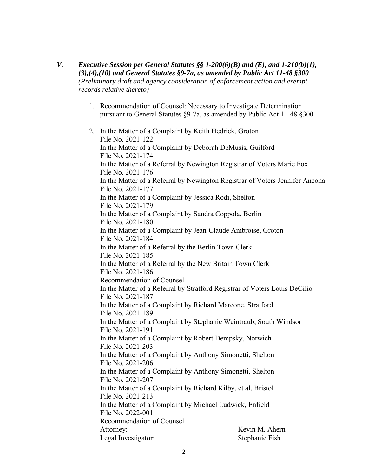- *V. Executive Session per General Statutes §§ 1-200(6)(B) and (E), and 1-210(b)(1), (3),(4),(10) and General Statutes §9-7a, as amended by Public Act 11-48 §300 (Preliminary draft and agency consideration of enforcement action and exempt records relative thereto)*
	- 1. Recommendation of Counsel: Necessary to Investigate Determination pursuant to General Statutes §9-7a, as amended by Public Act 11-48 §300
	- 2. In the Matter of a Complaint by Keith Hedrick, Groton File No. 2021-122 In the Matter of a Complaint by Deborah DeMusis, Guilford File No. 2021-174 In the Matter of a Referral by Newington Registrar of Voters Marie Fox File No. 2021-176 In the Matter of a Referral by Newington Registrar of Voters Jennifer Ancona File No. 2021-177 In the Matter of a Complaint by Jessica Rodi, Shelton File No. 2021-179 In the Matter of a Complaint by Sandra Coppola, Berlin File No. 2021-180 In the Matter of a Complaint by Jean-Claude Ambroise, Groton File No. 2021-184 In the Matter of a Referral by the Berlin Town Clerk File No. 2021-185 In the Matter of a Referral by the New Britain Town Clerk File No. 2021-186 Recommendation of Counsel In the Matter of a Referral by Stratford Registrar of Voters Louis DeCilio File No. 2021-187 In the Matter of a Complaint by Richard Marcone, Stratford File No. 2021-189 In the Matter of a Complaint by Stephanie Weintraub, South Windsor File No. 2021-191 In the Matter of a Complaint by Robert Dempsky, Norwich File No. 2021-203 In the Matter of a Complaint by Anthony Simonetti, Shelton File No. 2021-206 In the Matter of a Complaint by Anthony Simonetti, Shelton File No. 2021-207 In the Matter of a Complaint by Richard Kilby, et al, Bristol File No. 2021-213 In the Matter of a Complaint by Michael Ludwick, Enfield File No. 2022-001 Recommendation of Counsel Attorney: Kevin M. Ahern Legal Investigator: Stephanie Fish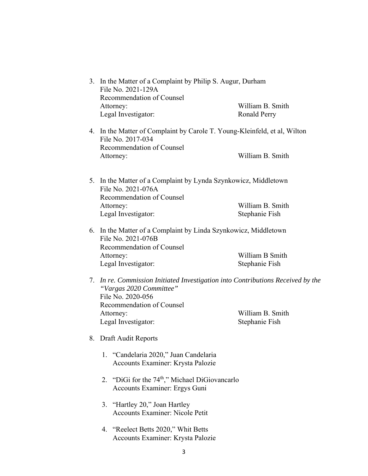| 3. In the Matter of a Complaint by Philip S. Augur, Durham<br>File No. 2021-129A<br>Recommendation of Counsel<br>Attorney:<br>Legal Investigator:                                                | William B. Smith<br><b>Ronald Perry</b> |
|--------------------------------------------------------------------------------------------------------------------------------------------------------------------------------------------------|-----------------------------------------|
| 4. In the Matter of Complaint by Carole T. Young-Kleinfeld, et al, Wilton<br>File No. 2017-034<br>Recommendation of Counsel<br>Attorney:                                                         | William B. Smith                        |
| 5. In the Matter of a Complaint by Lynda Szynkowicz, Middletown<br>File No. 2021-076A<br>Recommendation of Counsel<br>Attorney:<br>Legal Investigator:                                           | William B. Smith<br>Stephanie Fish      |
| 6. In the Matter of a Complaint by Linda Szynkowicz, Middletown<br>File No. 2021-076B<br>Recommendation of Counsel<br>Attorney:<br>Legal Investigator:                                           | William B Smith<br>Stephanie Fish       |
| 7. In re. Commission Initiated Investigation into Contributions Received by the<br>"Vargas 2020 Committee"<br>File No. 2020-056<br>Recommendation of Counsel<br>Attorney:<br>Legal Investigator: | William B. Smith<br>Stephanie Fish      |
| 8. Draft Audit Reports                                                                                                                                                                           |                                         |
| 1. "Candelaria 2020," Juan Candelaria<br>Accounts Examiner: Krysta Palozie                                                                                                                       |                                         |
| 2. "DiGi for the 74 <sup>th</sup> ," Michael DiGiovancarlo<br>Accounts Examiner: Ergys Guni                                                                                                      |                                         |
| 3. "Hartley 20," Joan Hartley<br><b>Accounts Examiner: Nicole Petit</b>                                                                                                                          |                                         |

4. "Reelect Betts 2020," Whit Betts Accounts Examiner: Krysta Palozie